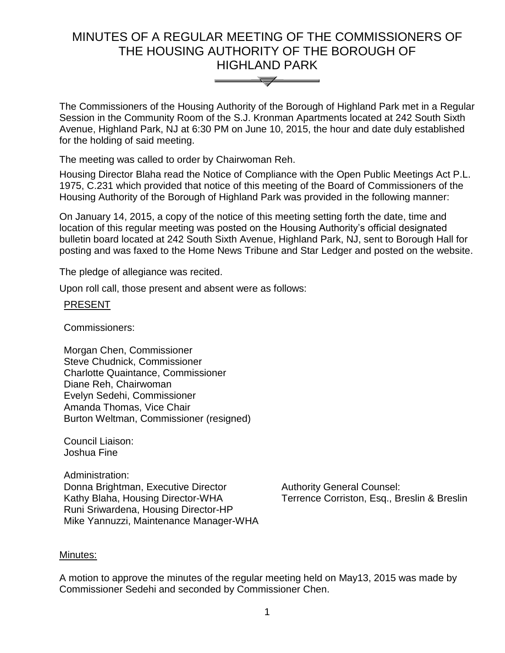# MINUTES OF A REGULAR MEETING OF THE COMMISSIONERS OF THE HOUSING AUTHORITY OF THE BOROUGH OF HIGHLAND PARK



The Commissioners of the Housing Authority of the Borough of Highland Park met in a Regular Session in the Community Room of the S.J. Kronman Apartments located at 242 South Sixth Avenue, Highland Park, NJ at 6:30 PM on June 10, 2015, the hour and date duly established for the holding of said meeting.

The meeting was called to order by Chairwoman Reh.

Housing Director Blaha read the Notice of Compliance with the Open Public Meetings Act P.L. 1975, C.231 which provided that notice of this meeting of the Board of Commissioners of the Housing Authority of the Borough of Highland Park was provided in the following manner:

On January 14, 2015, a copy of the notice of this meeting setting forth the date, time and location of this regular meeting was posted on the Housing Authority's official designated bulletin board located at 242 South Sixth Avenue, Highland Park, NJ, sent to Borough Hall for posting and was faxed to the Home News Tribune and Star Ledger and posted on the website.

The pledge of allegiance was recited.

Upon roll call, those present and absent were as follows:

## PRESENT

Commissioners:

Morgan Chen, Commissioner Steve Chudnick, Commissioner Charlotte Quaintance, Commissioner Diane Reh, Chairwoman Evelyn Sedehi, Commissioner Amanda Thomas, Vice Chair Burton Weltman, Commissioner (resigned)

Council Liaison: Joshua Fine

Administration: Donna Brightman, Executive Director Kathy Blaha, Housing Director-WHA Runi Sriwardena, Housing Director-HP Mike Yannuzzi, Maintenance Manager-WHA

Authority General Counsel: Terrence Corriston, Esq., Breslin & Breslin

#### Minutes:

A motion to approve the minutes of the regular meeting held on May13, 2015 was made by Commissioner Sedehi and seconded by Commissioner Chen.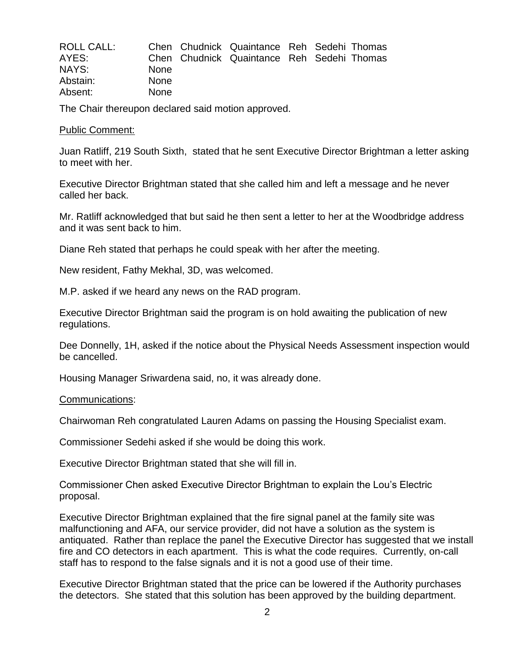| ROLL CALL: |             | Chen Chudnick Quaintance Reh Sedehi Thomas |  |  |
|------------|-------------|--------------------------------------------|--|--|
| AYES:      |             | Chen Chudnick Quaintance Reh Sedehi Thomas |  |  |
| NAYS:      | <b>None</b> |                                            |  |  |
| Abstain:   | <b>None</b> |                                            |  |  |
| Absent:    | <b>None</b> |                                            |  |  |

The Chair thereupon declared said motion approved.

#### Public Comment:

Juan Ratliff, 219 South Sixth, stated that he sent Executive Director Brightman a letter asking to meet with her.

Executive Director Brightman stated that she called him and left a message and he never called her back.

Mr. Ratliff acknowledged that but said he then sent a letter to her at the Woodbridge address and it was sent back to him.

Diane Reh stated that perhaps he could speak with her after the meeting.

New resident, Fathy Mekhal, 3D, was welcomed.

M.P. asked if we heard any news on the RAD program.

Executive Director Brightman said the program is on hold awaiting the publication of new regulations.

Dee Donnelly, 1H, asked if the notice about the Physical Needs Assessment inspection would be cancelled.

Housing Manager Sriwardena said, no, it was already done.

#### Communications:

Chairwoman Reh congratulated Lauren Adams on passing the Housing Specialist exam.

Commissioner Sedehi asked if she would be doing this work.

Executive Director Brightman stated that she will fill in.

Commissioner Chen asked Executive Director Brightman to explain the Lou's Electric proposal.

Executive Director Brightman explained that the fire signal panel at the family site was malfunctioning and AFA, our service provider, did not have a solution as the system is antiquated. Rather than replace the panel the Executive Director has suggested that we install fire and CO detectors in each apartment. This is what the code requires. Currently, on-call staff has to respond to the false signals and it is not a good use of their time.

Executive Director Brightman stated that the price can be lowered if the Authority purchases the detectors. She stated that this solution has been approved by the building department.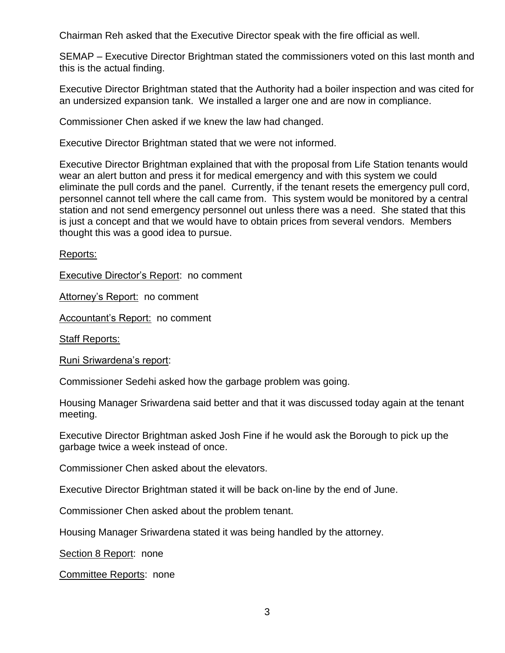Chairman Reh asked that the Executive Director speak with the fire official as well.

SEMAP – Executive Director Brightman stated the commissioners voted on this last month and this is the actual finding.

Executive Director Brightman stated that the Authority had a boiler inspection and was cited for an undersized expansion tank. We installed a larger one and are now in compliance.

Commissioner Chen asked if we knew the law had changed.

Executive Director Brightman stated that we were not informed.

Executive Director Brightman explained that with the proposal from Life Station tenants would wear an alert button and press it for medical emergency and with this system we could eliminate the pull cords and the panel. Currently, if the tenant resets the emergency pull cord, personnel cannot tell where the call came from. This system would be monitored by a central station and not send emergency personnel out unless there was a need. She stated that this is just a concept and that we would have to obtain prices from several vendors. Members thought this was a good idea to pursue.

Reports:

Executive Director's Report: no comment

Attorney's Report: no comment

Accountant's Report: no comment

**Staff Reports:** 

Runi Sriwardena's report:

Commissioner Sedehi asked how the garbage problem was going.

Housing Manager Sriwardena said better and that it was discussed today again at the tenant meeting.

Executive Director Brightman asked Josh Fine if he would ask the Borough to pick up the garbage twice a week instead of once.

Commissioner Chen asked about the elevators.

Executive Director Brightman stated it will be back on-line by the end of June.

Commissioner Chen asked about the problem tenant.

Housing Manager Sriwardena stated it was being handled by the attorney.

Section 8 Report: none

Committee Reports: none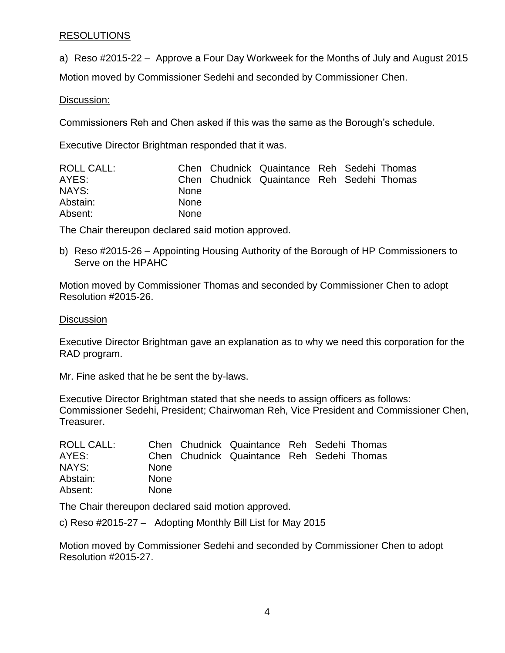# RESOLUTIONS

a) Reso #2015-22 – Approve a Four Day Workweek for the Months of July and August 2015

Motion moved by Commissioner Sedehi and seconded by Commissioner Chen.

# Discussion:

Commissioners Reh and Chen asked if this was the same as the Borough's schedule.

Executive Director Brightman responded that it was.

| <b>ROLL CALL:</b> |             | Chen Chudnick Quaintance Reh Sedehi Thomas |  |  |
|-------------------|-------------|--------------------------------------------|--|--|
| AYES:             |             | Chen Chudnick Quaintance Reh Sedehi Thomas |  |  |
| NAYS:             | <b>None</b> |                                            |  |  |
| Abstain:          | <b>None</b> |                                            |  |  |
| Absent:           | <b>None</b> |                                            |  |  |

The Chair thereupon declared said motion approved.

b) Reso #2015-26 – Appointing Housing Authority of the Borough of HP Commissioners to Serve on the HPAHC

Motion moved by Commissioner Thomas and seconded by Commissioner Chen to adopt Resolution #2015-26.

# **Discussion**

Executive Director Brightman gave an explanation as to why we need this corporation for the RAD program.

Mr. Fine asked that he be sent the by-laws.

Executive Director Brightman stated that she needs to assign officers as follows: Commissioner Sedehi, President; Chairwoman Reh, Vice President and Commissioner Chen, Treasurer.

| ROLL CALL: |             | Chen Chudnick Quaintance Reh Sedehi Thomas |  |  |
|------------|-------------|--------------------------------------------|--|--|
| AYES:      |             | Chen Chudnick Quaintance Reh Sedehi Thomas |  |  |
| NAYS:      | <b>None</b> |                                            |  |  |
| Abstain:   | <b>None</b> |                                            |  |  |
| Absent:    | <b>None</b> |                                            |  |  |

The Chair thereupon declared said motion approved.

c) Reso #2015-27 – Adopting Monthly Bill List for May 2015

Motion moved by Commissioner Sedehi and seconded by Commissioner Chen to adopt Resolution #2015-27.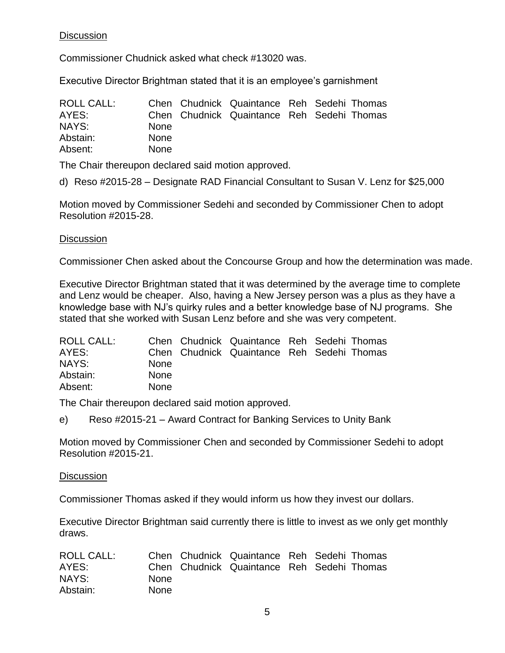# **Discussion**

Commissioner Chudnick asked what check #13020 was.

Executive Director Brightman stated that it is an employee's garnishment

| <b>ROLL CALL:</b> |             | Chen Chudnick Quaintance Reh Sedehi Thomas |  |  |
|-------------------|-------------|--------------------------------------------|--|--|
| AYES:             |             | Chen Chudnick Quaintance Reh Sedehi Thomas |  |  |
| NAYS:             | <b>None</b> |                                            |  |  |
| Abstain:          | <b>None</b> |                                            |  |  |
| Absent:           | <b>None</b> |                                            |  |  |

The Chair thereupon declared said motion approved.

d) Reso #2015-28 – Designate RAD Financial Consultant to Susan V. Lenz for \$25,000

Motion moved by Commissioner Sedehi and seconded by Commissioner Chen to adopt Resolution #2015-28.

# **Discussion**

Commissioner Chen asked about the Concourse Group and how the determination was made.

Executive Director Brightman stated that it was determined by the average time to complete and Lenz would be cheaper. Also, having a New Jersey person was a plus as they have a knowledge base with NJ's quirky rules and a better knowledge base of NJ programs. She stated that she worked with Susan Lenz before and she was very competent.

| <b>ROLL CALL:</b> |             | Chen Chudnick Quaintance Reh Sedehi Thomas |  |  |
|-------------------|-------------|--------------------------------------------|--|--|
| AYES:             |             | Chen Chudnick Quaintance Reh Sedehi Thomas |  |  |
| NAYS:             | <b>None</b> |                                            |  |  |
| Abstain:          | <b>None</b> |                                            |  |  |
| Absent:           | <b>None</b> |                                            |  |  |

The Chair thereupon declared said motion approved.

e) Reso #2015-21 – Award Contract for Banking Services to Unity Bank

Motion moved by Commissioner Chen and seconded by Commissioner Sedehi to adopt Resolution #2015-21.

# **Discussion**

Commissioner Thomas asked if they would inform us how they invest our dollars.

Executive Director Brightman said currently there is little to invest as we only get monthly draws.

| ROLL CALL: |             | Chen Chudnick Quaintance Reh Sedehi Thomas |  |  |
|------------|-------------|--------------------------------------------|--|--|
| AYES:      |             | Chen Chudnick Quaintance Reh Sedehi Thomas |  |  |
| NAYS:      | None.       |                                            |  |  |
| Abstain:   | <b>None</b> |                                            |  |  |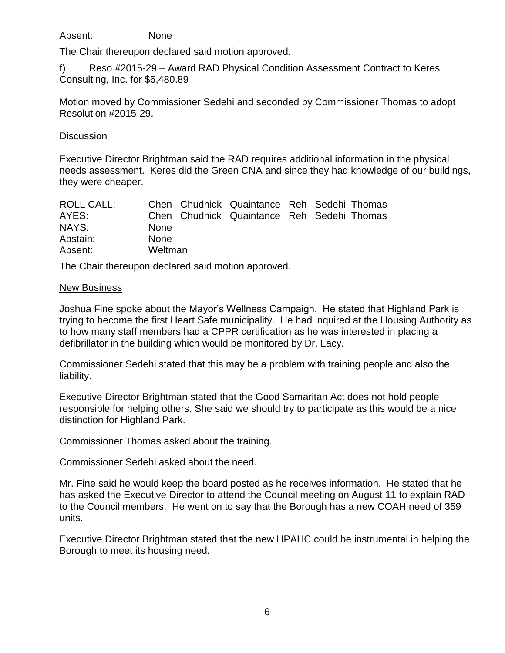Absent: None

The Chair thereupon declared said motion approved.

f) Reso #2015-29 – Award RAD Physical Condition Assessment Contract to Keres Consulting, Inc. for \$6,480.89

Motion moved by Commissioner Sedehi and seconded by Commissioner Thomas to adopt Resolution #2015-29.

### **Discussion**

Executive Director Brightman said the RAD requires additional information in the physical needs assessment. Keres did the Green CNA and since they had knowledge of our buildings, they were cheaper.

| ROLL CALL: |             | Chen Chudnick Quaintance Reh Sedehi Thomas |  |  |
|------------|-------------|--------------------------------------------|--|--|
| AYES:      |             | Chen Chudnick Quaintance Reh Sedehi Thomas |  |  |
| NAYS:      | <b>None</b> |                                            |  |  |
| Abstain:   | <b>None</b> |                                            |  |  |
| Absent:    | Weltman     |                                            |  |  |

The Chair thereupon declared said motion approved.

## New Business

Joshua Fine spoke about the Mayor's Wellness Campaign. He stated that Highland Park is trying to become the first Heart Safe municipality. He had inquired at the Housing Authority as to how many staff members had a CPPR certification as he was interested in placing a defibrillator in the building which would be monitored by Dr. Lacy.

Commissioner Sedehi stated that this may be a problem with training people and also the liability.

Executive Director Brightman stated that the Good Samaritan Act does not hold people responsible for helping others. She said we should try to participate as this would be a nice distinction for Highland Park.

Commissioner Thomas asked about the training.

Commissioner Sedehi asked about the need.

Mr. Fine said he would keep the board posted as he receives information. He stated that he has asked the Executive Director to attend the Council meeting on August 11 to explain RAD to the Council members. He went on to say that the Borough has a new COAH need of 359 units.

Executive Director Brightman stated that the new HPAHC could be instrumental in helping the Borough to meet its housing need.